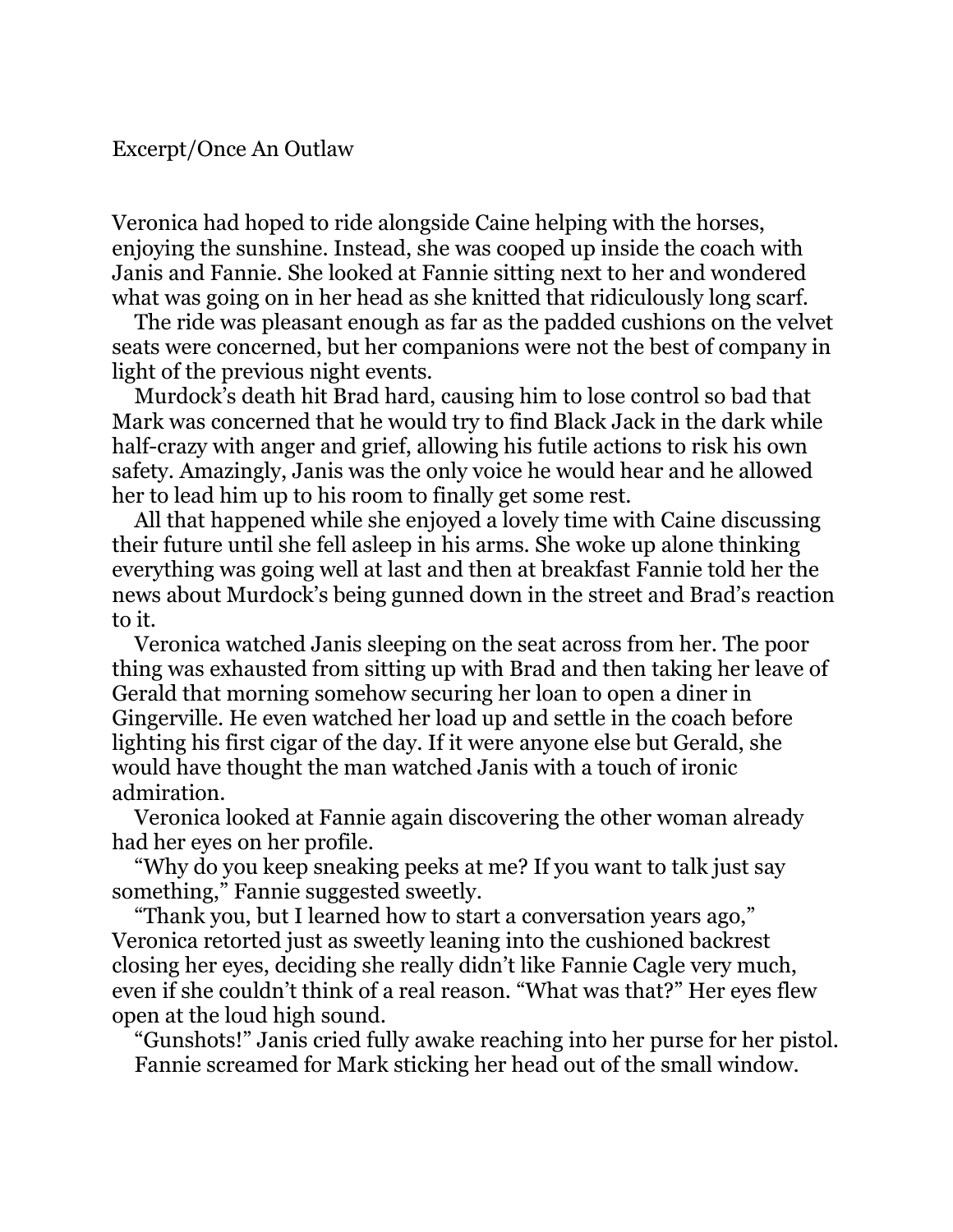Veronica had hoped to ride alongside Caine helping with the horses, enjoying the sunshine. Instead, she was cooped up inside the coach with Janis and Fannie. She looked at Fannie sitting next to her and wondered what was going on in her head as she knitted that ridiculously long scarf.

The ride was pleasant enough as far as the padded cushions on the velvet seats were concerned, but her companions were not the best of company in light of the previous night events.

Murdock's death hit Brad hard, causing him to lose control so bad that Mark was concerned that he would try to find Black Jack in the dark while half-crazy with anger and grief, allowing his futile actions to risk his own safety. Amazingly, Janis was the only voice he would hear and he allowed her to lead him up to his room to finally get some rest.

All that happened while she enjoyed a lovely time with Caine discussing their future until she fell asleep in his arms. She woke up alone thinking everything was going well at last and then at breakfast Fannie told her the news about Murdock's being gunned down in the street and Brad's reaction to it.

Veronica watched Janis sleeping on the seat across from her. The poor thing was exhausted from sitting up with Brad and then taking her leave of Gerald that morning somehow securing her loan to open a diner in Gingerville. He even watched her load up and settle in the coach before lighting his first cigar of the day. If it were anyone else but Gerald, she would have thought the man watched Janis with a touch of ironic admiration.

Veronica looked at Fannie again discovering the other woman already had her eyes on her profile.

"Why do you keep sneaking peeks at me? If you want to talk just say something," Fannie suggested sweetly.

"Thank you, but I learned how to start a conversation years ago," Veronica retorted just as sweetly leaning into the cushioned backrest closing her eyes, deciding she really didn't like Fannie Cagle very much, even if she couldn't think of a real reason. "What was that?" Her eyes flew open at the loud high sound.

"Gunshots!" Janis cried fully awake reaching into her purse for her pistol. Fannie screamed for Mark sticking her head out of the small window.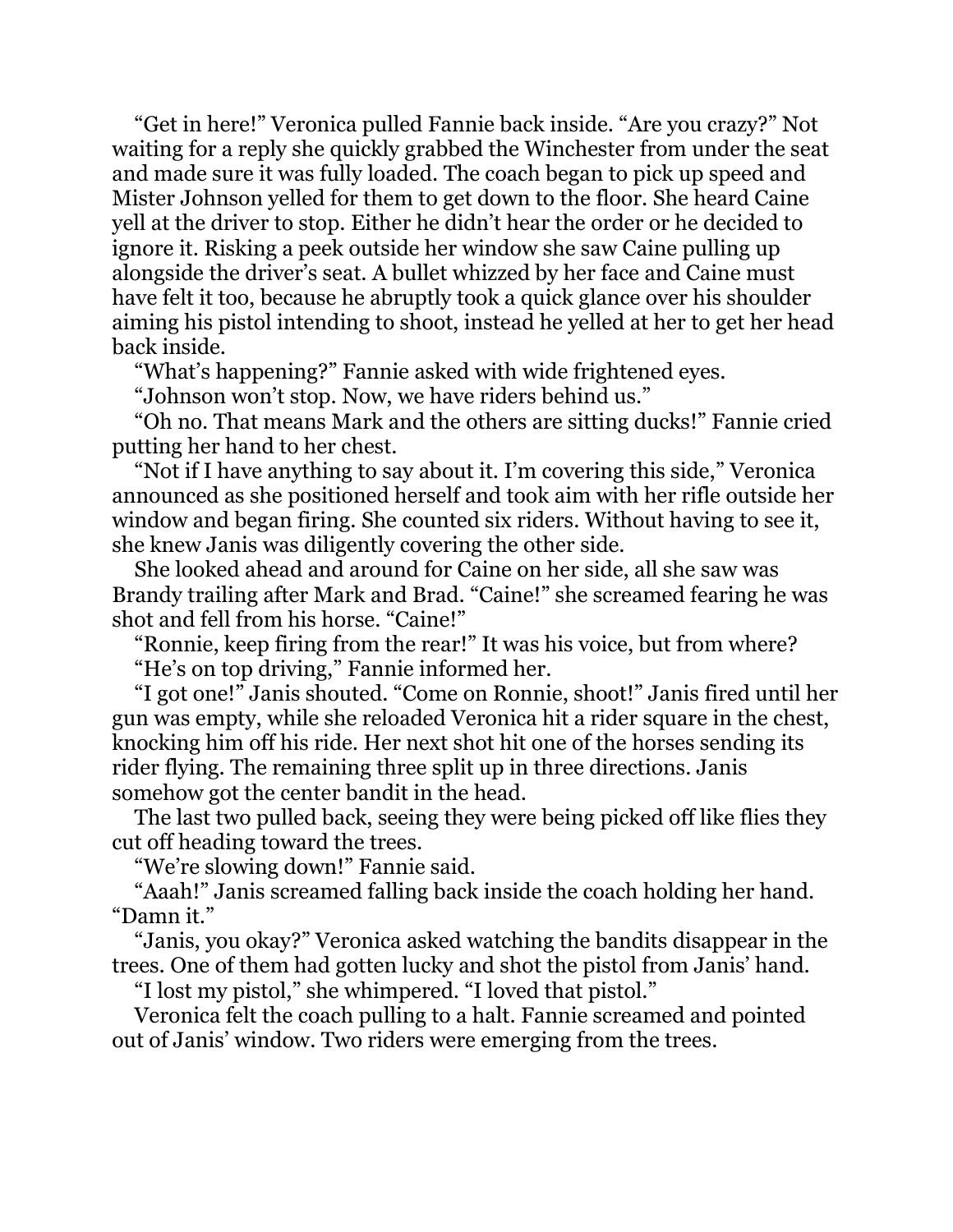"Get in here!" Veronica pulled Fannie back inside. "Are you crazy?" Not waiting for a reply she quickly grabbed the Winchester from under the seat and made sure it was fully loaded. The coach began to pick up speed and Mister Johnson yelled for them to get down to the floor. She heard Caine yell at the driver to stop. Either he didn't hear the order or he decided to ignore it. Risking a peek outside her window she saw Caine pulling up alongside the driver's seat. A bullet whizzed by her face and Caine must have felt it too, because he abruptly took a quick glance over his shoulder aiming his pistol intending to shoot, instead he yelled at her to get her head back inside.

"What's happening?" Fannie asked with wide frightened eyes.

"Johnson won't stop. Now, we have riders behind us."

"Oh no. That means Mark and the others are sitting ducks!" Fannie cried putting her hand to her chest.

"Not if I have anything to say about it. I'm covering this side," Veronica announced as she positioned herself and took aim with her rifle outside her window and began firing. She counted six riders. Without having to see it, she knew Janis was diligently covering the other side.

She looked ahead and around for Caine on her side, all she saw was Brandy trailing after Mark and Brad. "Caine!" she screamed fearing he was shot and fell from his horse. "Caine!"

"Ronnie, keep firing from the rear!" It was his voice, but from where? "He's on top driving," Fannie informed her.

"I got one!" Janis shouted. "Come on Ronnie, shoot!" Janis fired until her gun was empty, while she reloaded Veronica hit a rider square in the chest, knocking him off his ride. Her next shot hit one of the horses sending its rider flying. The remaining three split up in three directions. Janis somehow got the center bandit in the head.

The last two pulled back, seeing they were being picked off like flies they cut off heading toward the trees.

"We're slowing down!" Fannie said.

"Aaah!" Janis screamed falling back inside the coach holding her hand. "Damn it."

"Janis, you okay?" Veronica asked watching the bandits disappear in the trees. One of them had gotten lucky and shot the pistol from Janis' hand.

"I lost my pistol," she whimpered. "I loved that pistol."

Veronica felt the coach pulling to a halt. Fannie screamed and pointed out of Janis' window. Two riders were emerging from the trees.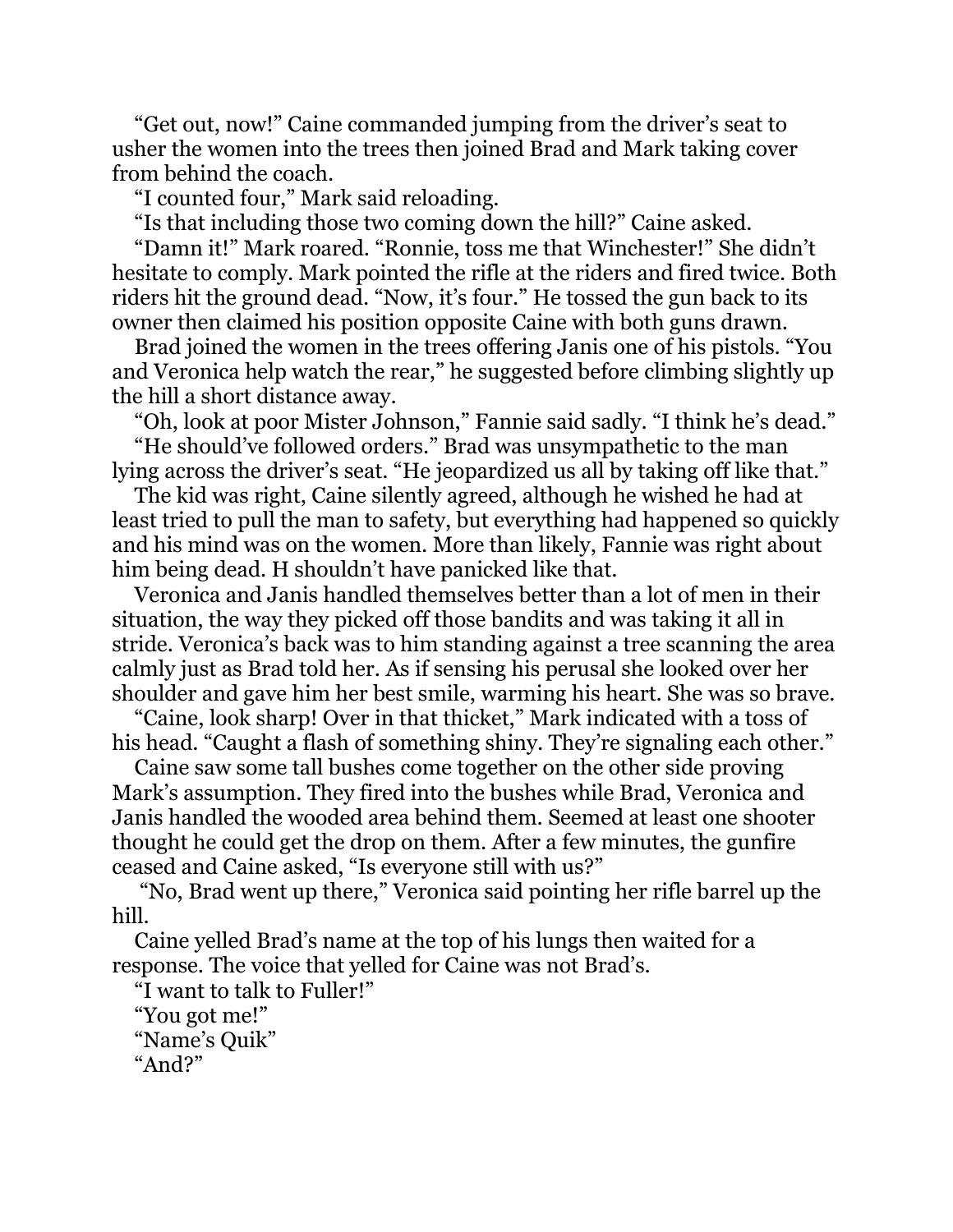"Get out, now!" Caine commanded jumping from the driver's seat to usher the women into the trees then joined Brad and Mark taking cover from behind the coach.

"I counted four," Mark said reloading.

"Is that including those two coming down the hill?" Caine asked.

"Damn it!" Mark roared. "Ronnie, toss me that Winchester!" She didn't hesitate to comply. Mark pointed the rifle at the riders and fired twice. Both riders hit the ground dead. "Now, it's four." He tossed the gun back to its owner then claimed his position opposite Caine with both guns drawn.

Brad joined the women in the trees offering Janis one of his pistols. "You and Veronica help watch the rear," he suggested before climbing slightly up the hill a short distance away.

"Oh, look at poor Mister Johnson," Fannie said sadly. "I think he's dead."

"He should've followed orders." Brad was unsympathetic to the man lying across the driver's seat. "He jeopardized us all by taking off like that."

The kid was right, Caine silently agreed, although he wished he had at least tried to pull the man to safety, but everything had happened so quickly and his mind was on the women. More than likely, Fannie was right about him being dead. H shouldn't have panicked like that.

Veronica and Janis handled themselves better than a lot of men in their situation, the way they picked off those bandits and was taking it all in stride. Veronica's back was to him standing against a tree scanning the area calmly just as Brad told her. As if sensing his perusal she looked over her shoulder and gave him her best smile, warming his heart. She was so brave.

"Caine, look sharp! Over in that thicket," Mark indicated with a toss of his head. "Caught a flash of something shiny. They're signaling each other."

Caine saw some tall bushes come together on the other side proving Mark's assumption. They fired into the bushes while Brad, Veronica and Janis handled the wooded area behind them. Seemed at least one shooter thought he could get the drop on them. After a few minutes, the gunfire ceased and Caine asked, "Is everyone still with us?"

"No, Brad went up there," Veronica said pointing her rifle barrel up the hill.

Caine yelled Brad's name at the top of his lungs then waited for a response. The voice that yelled for Caine was not Brad's.

"I want to talk to Fuller!"

"You got me!" "Name's Quik" "And?"